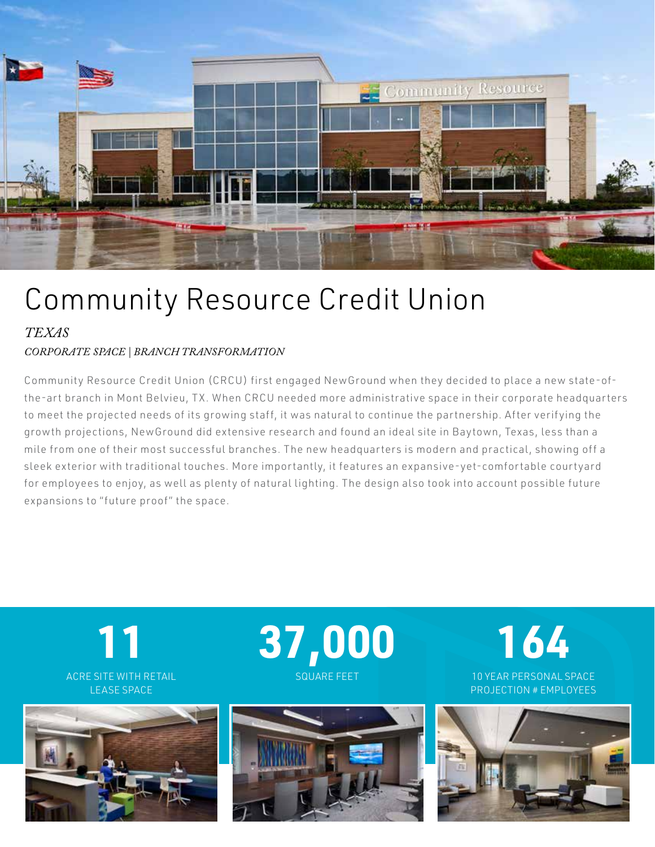

## Community Resource Credit Union

*TEXAS*

## *CORPORATE SPACE | BRANCH TRANSFORMATION*

Community Resource Credit Union (CRCU) first engaged NewGround when they decided to place a new state-ofthe-art branch in Mont Belvieu, TX. When CRCU needed more administrative space in their corporate headquarters to meet the projected needs of its growing staff, it was natural to continue the partnership. After verifying the growth projections, NewGround did extensive research and found an ideal site in Baytown, Texas, less than a mile from one of their most successful branches. The new headquar ters is modern and practical, showing off a sleek exterior with traditional touches. More importantly, it features an expansive-yet-comfortable courtyard for employees to enjoy, as well as plenty of natural lighting. The design also took into account possible future expansions to "future proof" the space.